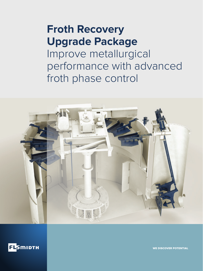## **Froth Recovery Upgrade Package**

Improve metallurgical performance with advanced froth phase control





WE DISCOVER POTENTIAL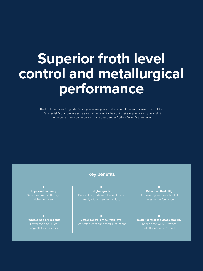# **Superior froth level control and metallurgical performance**

The Froth Recovery Upgrade Package enables you to better control the froth phase. The addition of the radial froth crowders adds a new dimension to the control strategy, enabling you to shift the grade recovery curve by allowing either deeper froth or faster froth removal.

**■ Improved recovery**

**■ Reduced use of reagents** 

#### **Key benefits**

**■ Higher grade**

**■ Better control of the froth level** 

**■ Exhanced flexibility**

**■ Better control of surface stability**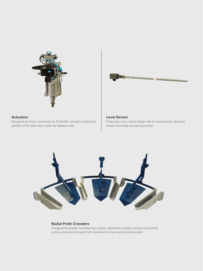



#### **Actuators**

Designed by Festo, exclusively for FLSmidth, actuators control the position of the dart valve inside the flotation cells

#### **Level Sensor**

Featuring a new robust design with no moving parts, the level sensor accurately senses slurry level



#### **Radial Froth Crowders**

Designed for greater flexibility and control, radial froth crowders reduce top-of-froth surface area and increase froth movement to the nearest radial launder